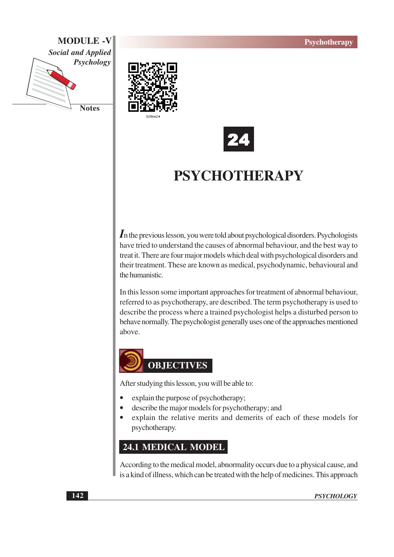





## **PSYCHOTHERAPY**

 $\boldsymbol{I}$ n the previous lesson, you were told about psychological disorders. Psychologists have tried to understand the causes of abnormal behaviour, and the best way to treat it. There are four major models which deal with psychological disorders and their treatment. These are known as medical, psychodynamic, behavioural and the humanistic.

In this lesson some important approaches for treatment of abnormal behaviour, referred to as psychotherapy, are described. The term psychotherapy is used to describe the process where a trained psychologist helps a disturbed person to behave normally. The psychologist generally uses one of the approaches mentioned above.



After studying this lesson, you will be able to:

- explain the purpose of psychotherapy;
- describe the major models for psychotherapy; and
- explain the relative merits and demerits of each of these models for psychotherapy.

## 24.1 MEDICAL MODEL

According to the medical model, abnormality occurs due to a physical cause, and is a kind of illness, which can be treated with the help of medicines. This approach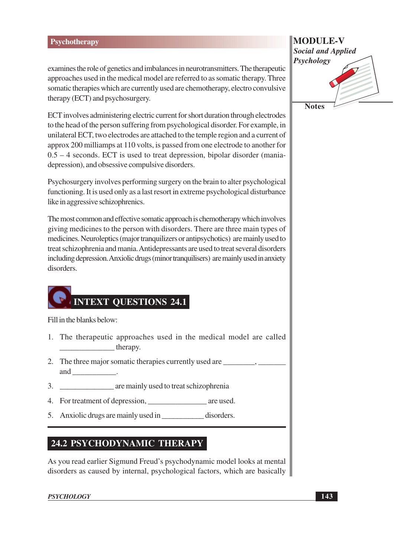examines the role of genetics and imbalances in neurotransmitters. The therapeutic approaches used in the medical model are referred to as somatic therapy. Three somatic therapies which are currently used are chemotherapy, electro convulsive therapy (ECT) and psychosurgery.

ECT involves administering electric current for short duration through electrodes to the head of the person suffering from psychological disorder. For example, in unilateral ECT, two electrodes are attached to the temple region and a current of approx 200 milliamps at 110 volts, is passed from one electrode to another for  $0.5 - 4$  seconds. ECT is used to treat depression, bipolar disorder (maniadepression), and obsessive compulsive disorders.

Psychosurgery involves performing surgery on the brain to alter psychological functioning. It is used only as a last resort in extreme psychological disturbance like in aggressive schizophrenics.

The most common and effective somatic approach is chemotherapy which involves giving medicines to the person with disorders. There are three main types of medicines. Neuroleptics (major tranquilizers or antipsychotics) are mainly used to treat schizophrenia and mania. Antidepressants are used to treat several disorders including depression. Anxiolic drugs (minor tranquilisers) are mainly used in anxiety disorders.

# **INTEXT OUESTIONS 24.1**

Fill in the blanks below:

- 1. The therapeutic approaches used in the medical model are called  $therefore$  therapy.
- and \_\_\_\_\_\_\_\_\_\_\_\_\_\_\_\_.
- 
- 
- 5. Anxiolic drugs are mainly used in disorders.

### 24.2 PSYCHODYNAMIC THERAPY

As you read earlier Sigmund Freud's psychodynamic model looks at mental disorders as caused by internal, psychological factors, which are basically

#### **PSYCHOLOGY**

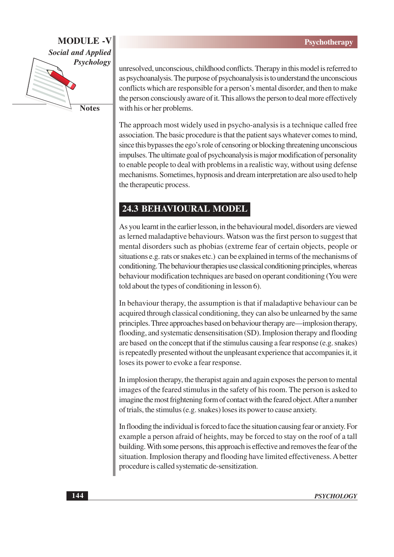

**Notes** 

unresolved, unconscious, childhood conflicts. Therapy in this model is referred to as psychoanalysis. The purpose of psychoanalysis is to understand the unconscious conflicts which are responsible for a person's mental disorder, and then to make the person consciously aware of it. This allows the person to deal more effectively with his or her problems.

The approach most widely used in psycho-analysis is a technique called free association. The basic procedure is that the patient says whatever comes to mind, since this bypasses the ego's role of censoring or blocking threatening unconscious impulses. The ultimate goal of psychoanalysis is major modification of personality to enable people to deal with problems in a realistic way, without using defense mechanisms. Sometimes, hypnosis and dream interpretation are also used to help the therapeutic process.

### **24.3 BEHAVIOURAL MODEL**

As you learnt in the earlier lesson, in the behavioural model, disorders are viewed as lerned maladaptive behaviours. Watson was the first person to suggest that mental disorders such as phobias (extreme fear of certain objects, people or situations e.g. rats or snakes etc.) can be explained in terms of the mechanisms of conditioning. The behaviour therapies use classical conditioning principles, whereas behaviour modification techniques are based on operant conditioning (You were told about the types of conditioning in lesson 6).

In behaviour therapy, the assumption is that if maladaptive behaviour can be acquired through classical conditioning, they can also be unlearned by the same principles. Three approaches based on behaviour therapy are—implosion therapy, flooding, and systematic densensitisation (SD). Implosion therapy and flooding are based on the concept that if the stimulus causing a fear response (e.g. snakes) is repeatedly presented without the unpleasant experience that accompanies it, it loses its power to evoke a fear response.

In implosion therapy, the therapist again and again exposes the person to mental images of the feared stimulus in the safety of his room. The person is asked to imagine the most frightening form of contact with the feared object. After a number of trials, the stimulus (e.g. snakes) loses its power to cause anxiety.

In flooding the individual is forced to face the situation causing fear or anxiety. For example a person afraid of heights, may be forced to stay on the roof of a tall building. With some persons, this approach is effective and removes the fear of the situation. Implosion therapy and flooding have limited effectiveness. A better procedure is called systematic de-sensitization.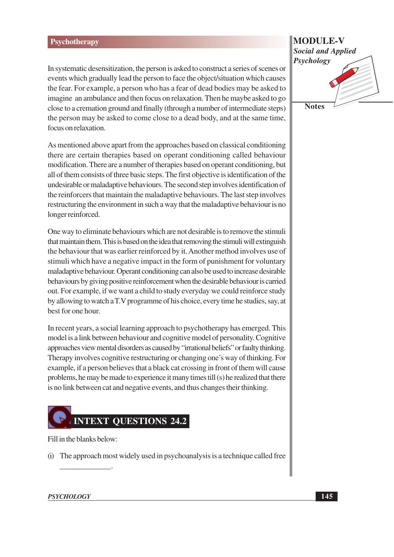In systematic desensitization, the person is asked to construct a series of scenes or events which gradually lead the person to face the object/situation which causes the fear. For example, a person who has a fear of dead bodies may be asked to imagine an ambulance and then focus on relaxation. Then he maybe asked to go close to a cremation ground and finally (through a number of intermediate steps) the person may be asked to come close to a dead body, and at the same time, focus on relaxation.

As mentioned above apart from the approaches based on classical conditioning there are certain therapies based on operant conditioning called behaviour modification. There are a number of therapies based on operant conditioning, but all of them consists of three basic steps. The first objective is identification of the undesirable or maladaptive behaviours. The second step involves identification of the reinforcers that maintain the maladaptive behaviours. The last step involves restructuring the environment in such a way that the maladaptive behaviour is no longer reinforced.

One way to eliminate behaviours which are not desirable is to remove the stimuli that maintain them. This is based on the idea that removing the stimuli will extinguish the behaviour that was earlier reinforced by it. Another method involves use of stimuli which have a negative impact in the form of punishment for voluntary maladaptive behaviour. Operant conditioning can also be used to increase desirable behaviours by giving positive reinforcement when the desirable behaviour is carried out. For example, if we want a child to study everyday we could reinforce study by allowing to watch a T.V programme of his choice, every time he studies, say, at best for one hour.

In recent years, a social learning approach to psychotherapy has emerged. This model is a link between behaviour and cognitive model of personality. Cognitive approaches view mental disorders as caused by "irrational beliefs" or faulty thinking. Therapy involves cognitive restructuring or changing one's way of thinking. For example, if a person believes that a black cat crossing in front of them will cause problems, he may be made to experience it many times till (s) he realized that there is no link between cat and negative events, and thus changes their thinking.



Fill in the blanks below:

(i) The approach most widely used in psychoanalysis is a technique called free

## **MODULE-V Social and Applied** Psychology **Notes**

#### **PSYCHOLOGY**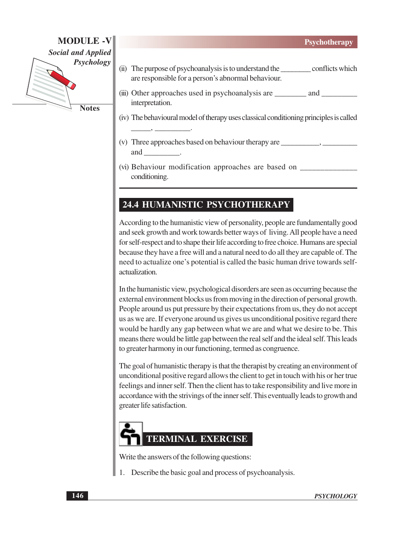**MODULE-V Social and Applied** Psychology **Notes** 

- (ii) The purpose of psychoanalysis is to understand the conflicts which are responsible for a person's abnormal behaviour.
- (iii) Other approaches used in psychoanalysis are \_\_\_\_\_\_\_\_\_\_ and \_\_\_\_\_\_\_\_\_\_\_\_\_\_\_\_ interpretation.
- (iv) The behavioural model of therapy uses classical conditioning principles is called
- (v) Three approaches based on behaviour therapy are and
- conditioning.

## 24.4 HUMANISTIC PSYCHOTHERAPY

According to the humanistic view of personality, people are fundamentally good and seek growth and work towards better ways of living. All people have a need for self-respect and to shape their life according to free choice. Humans are special because they have a free will and a natural need to do all they are capable of. The need to actualize one's potential is called the basic human drive towards selfactualization.

In the humanistic view, psychological disorders are seen as occurring because the external environment blocks us from moving in the direction of personal growth. People around us put pressure by their expectations from us, they do not accept us as we are. If everyone around us gives us unconditional positive regard there would be hardly any gap between what we are and what we desire to be. This means there would be little gap between the real self and the ideal self. This leads to greater harmony in our functioning, termed as congruence.

The goal of humanistic therapy is that the therapist by creating an environment of unconditional positive regard allows the client to get in touch with his or her true feelings and inner self. Then the client has to take responsibility and live more in accordance with the strivings of the inner self. This eventually leads to growth and greater life satisfaction.



Write the answers of the following questions:

Describe the basic goal and process of psychoanalysis.